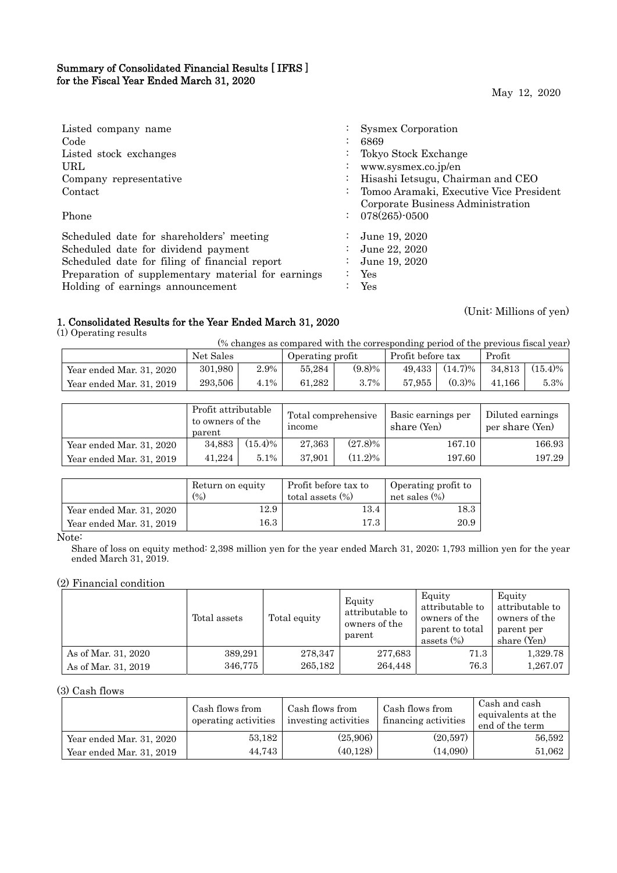## Summary of Consolidated Financial Results [ IFRS ] for the Fiscal Year Ended March 31, 2020

May 12, 2020

| Listed company name                                |                      | <b>Sysmex Corporation</b>               |
|----------------------------------------------------|----------------------|-----------------------------------------|
| Code                                               |                      | 6869                                    |
| Listed stock exchanges                             |                      | Tokyo Stock Exchange                    |
| URL                                                | $\bullet$            | www.sysmex.co.jp/en                     |
| Company representative                             | $\ddot{\phantom{0}}$ | Hisashi Ietsugu, Chairman and CEO       |
| Contact                                            |                      | Tomoo Aramaki, Executive Vice President |
|                                                    |                      | Corporate Business Administration       |
| Phone                                              | $\ddot{\phantom{a}}$ | 078(265)-0500                           |
| Scheduled date for shareholders' meeting           |                      | June 19, 2020                           |
| Scheduled date for dividend payment                |                      | June 22, 2020                           |
| Scheduled date for filing of financial report      |                      | June 19, 2020                           |
| Preparation of supplementary material for earnings |                      | Yes                                     |
| Holding of earnings announcement                   |                      | Yes                                     |

## 1. Consolidated Results for the Year Ended March 31, 2020

(1) Operating results

(% changes as compared with the corresponding period of the previous fiscal year)

|                          | Net Sales |         | Operating profit |           | Profit before tax |            | Profit |            |
|--------------------------|-----------|---------|------------------|-----------|-------------------|------------|--------|------------|
| Year ended Mar. 31, 2020 | 301.980   | $2.9\%$ | 55.284           | $(9.8)\%$ | 49.433            | $(14.7)\%$ | 34.813 | $(15.4)\%$ |
| Year ended Mar. 31, 2019 | 293.506   | 4.1%    | 61.282           | $3.7\%$   | 57.955            | $(0.3)\%$  | 41.166 | $5.3\%$    |

|                          | Profit attributable<br>to owners of the<br>parent |            | Total comprehensive<br>income |            | Basic earnings per<br>share (Yen) | Diluted earnings<br>per share (Yen) |
|--------------------------|---------------------------------------------------|------------|-------------------------------|------------|-----------------------------------|-------------------------------------|
| Year ended Mar. 31, 2020 | 34.883                                            | $(15.4)\%$ | 27.363                        | $(27.8)\%$ | 167.10                            | 166.93                              |
| Year ended Mar. 31, 2019 | 41.224                                            | $5.1\%$    | 37.901                        | $(11.2)\%$ | 197.60                            | 197.29                              |

|                          | Return on equity<br>(96) | Profit before tax to<br>total assets $(\%)$ | Operating profit to<br>net sales $(\%)$ |
|--------------------------|--------------------------|---------------------------------------------|-----------------------------------------|
| Year ended Mar. 31, 2020 | 12.9                     | 13.4                                        | $^{18.3}$                               |
| Year ended Mar. 31, 2019 | $16.3\,$                 | 17.3                                        | 20.9                                    |

Note:

Share of loss on equity method: 2,398 million yen for the year ended March 31, 2020; 1,793 million yen for the year ended March 31, 2019.

### (2) Financial condition

|                     | Total assets | Total equity | Equity<br>attributable to<br>owners of the<br>parent | Equity<br>attributable to<br>owners of the<br>parent to total<br>assets $(\%)$ | Equity<br>attributable to<br>owners of the<br>parent per<br>share (Yen) |
|---------------------|--------------|--------------|------------------------------------------------------|--------------------------------------------------------------------------------|-------------------------------------------------------------------------|
| As of Mar. 31, 2020 | 389,291      | 278,347      | 277,683                                              | 71.3                                                                           | 1,329.78                                                                |
| As of Mar. 31, 2019 | 346,775      | 265,182      | 264.448                                              | 76.3                                                                           | 1,267.07                                                                |

(3) Cash flows

|                          | Cash flows from<br>operating activities | Cash flows from<br>investing activities | Cash flows from<br>financing activities | Cash and cash<br>equivalents at the<br>end of the term |
|--------------------------|-----------------------------------------|-----------------------------------------|-----------------------------------------|--------------------------------------------------------|
| Year ended Mar. 31, 2020 | 53,182                                  | (25,906)                                | (20,597)                                | 56.592                                                 |
| Year ended Mar. 31, 2019 | 44,743                                  | (40, 128)                               | (14,090)                                | 51,062                                                 |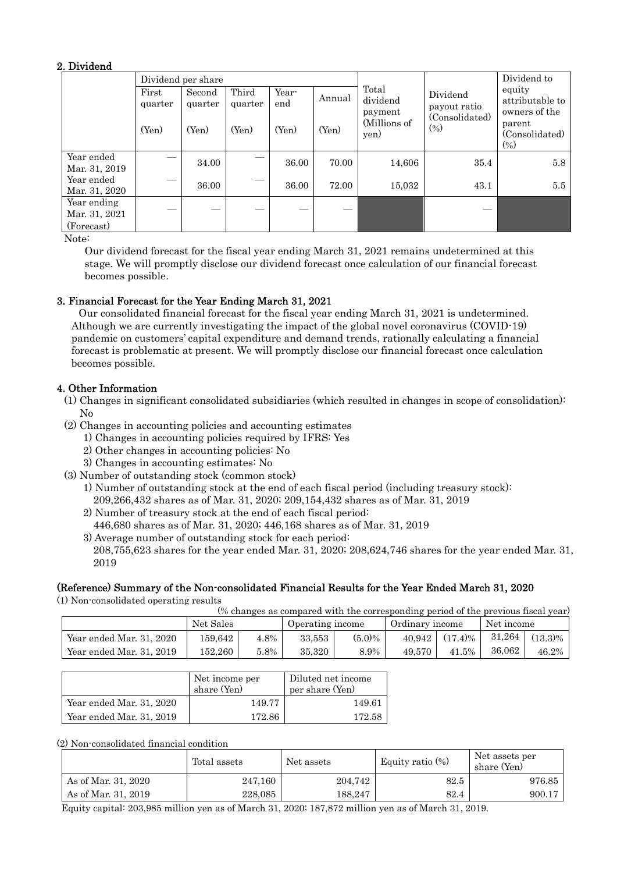## 2. Dividend

|                                            |                  | Dividend per share |                  |              |        |                              | Dividend to                           |                                            |
|--------------------------------------------|------------------|--------------------|------------------|--------------|--------|------------------------------|---------------------------------------|--------------------------------------------|
|                                            | First<br>quarter | Second<br>quarter  | Third<br>quarter | Year-<br>end | Annual | Total<br>dividend<br>payment | Dividend<br>payout ratio              | equity<br>attributable to<br>owners of the |
|                                            | (Yen)            | (Yen)              | (Yen)            | (Yen)        | (Yen)  | (Millions of<br>yen)         | (Consolidated)<br>$\left( \% \right)$ | parent<br>(Consolidated)<br>$(\%)$         |
| Year ended<br>Mar. 31, 2019                |                  | 34.00              |                  | 36.00        | 70.00  | 14,606                       | 35.4                                  | 5.8                                        |
| Year ended<br>Mar. 31, 2020                |                  | 36.00              |                  | 36.00        | 72.00  | 15.032                       | 43.1                                  | 5.5                                        |
| Year ending<br>Mar. 31, 2021<br>(Forecast) |                  |                    |                  |              |        |                              |                                       |                                            |

Note:

 Our dividend forecast for the fiscal year ending March 31, 2021 remains undetermined at this stage. We will promptly disclose our dividend forecast once calculation of our financial forecast becomes possible.

## 3. Financial Forecast for the Year Ending March 31, 2021

Our consolidated financial forecast for the fiscal year ending March 31, 2021 is undetermined. Although we are currently investigating the impact of the global novel coronavirus (COVID-19) pandemic on customers' capital expenditure and demand trends, rationally calculating a financial forecast is problematic at present. We will promptly disclose our financial forecast once calculation becomes possible.

## 4. Other Information

- (1) Changes in significant consolidated subsidiaries (which resulted in changes in scope of consolidation):  $N<sub>0</sub>$
- (2) Changes in accounting policies and accounting estimates
	- 1) Changes in accounting policies required by IFRS: Yes
	- 2) Other changes in accounting policies: No
	- 3) Changes in accounting estimates: No
- (3) Number of outstanding stock (common stock)
	- 1) Number of outstanding stock at the end of each fiscal period (including treasury stock):
		- 209,266,432 shares as of Mar. 31, 2020; 209,154,432 shares as of Mar. 31, 2019
	- 2) Number of treasury stock at the end of each fiscal period: 446,680 shares as of Mar. 31, 2020; 446,168 shares as of Mar. 31, 2019
	- 3) Average number of outstanding stock for each period: 208,755,623 shares for the year ended Mar. 31, 2020; 208,624,746 shares for the year ended Mar. 31, 2019

## (Reference) Summary of the Non-consolidated Financial Results for the Year Ended March 31, 2020

(1) Non-consolidated operating results

(% changes as compared with the corresponding period of the previous fiscal year)

|                          | Net Sales |         | Operating income |           | Ordinary income |                  | Net income |            |
|--------------------------|-----------|---------|------------------|-----------|-----------------|------------------|------------|------------|
| Year ended Mar. 31, 2020 | 159.642   | 4.8%    | 33.553           | $(5.0)\%$ |                 | $40.942$ (17.4)% | 31.264     | $(13.3)\%$ |
| Year ended Mar. 31, 2019 | 152.260   | $5.8\%$ | 35.320           | 8.9%      | 49.570          | 41.5%            | 36.062     | 46.2%      |

|                          | Net income per<br>share (Yen) | Diluted net income<br>per share (Yen) |  |  |
|--------------------------|-------------------------------|---------------------------------------|--|--|
| Year ended Mar. 31, 2020 | 149.77                        | 149.61                                |  |  |
| Year ended Mar. 31, 2019 | 172.86                        | 172.58                                |  |  |

(2) Non-consolidated financial condition

|                     | Total assets | Net assets | Equity ratio $(\%)$ | Net assets per<br>share (Yen) |  |
|---------------------|--------------|------------|---------------------|-------------------------------|--|
| As of Mar. 31, 2020 | 247,160      | 204.742    | 82.5                | 976.85                        |  |
| As of Mar. 31, 2019 | 228.085      | 188.247    | 82.4                | 900.17                        |  |

Equity capital: 203,985 million yen as of March 31, 2020; 187,872 million yen as of March 31, 2019.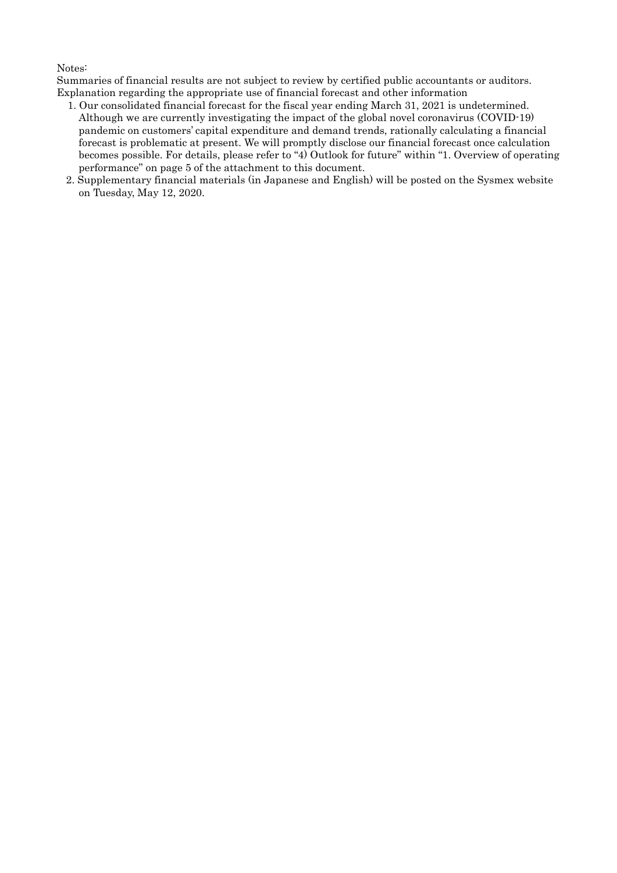### Notes:

Summaries of financial results are not subject to review by certified public accountants or auditors. Explanation regarding the appropriate use of financial forecast and other information

- 1. Our consolidated financial forecast for the fiscal year ending March 31, 2021 is undetermined. Although we are currently investigating the impact of the global novel coronavirus (COVID-19) pandemic on customers' capital expenditure and demand trends, rationally calculating a financial forecast is problematic at present. We will promptly disclose our financial forecast once calculation becomes possible. For details, please refer to "4) Outlook for future" within "1. Overview of operating performance" on page 5 of the attachment to this document.
- 2. Supplementary financial materials (in Japanese and English) will be posted on the Sysmex website on Tuesday, May 12, 2020.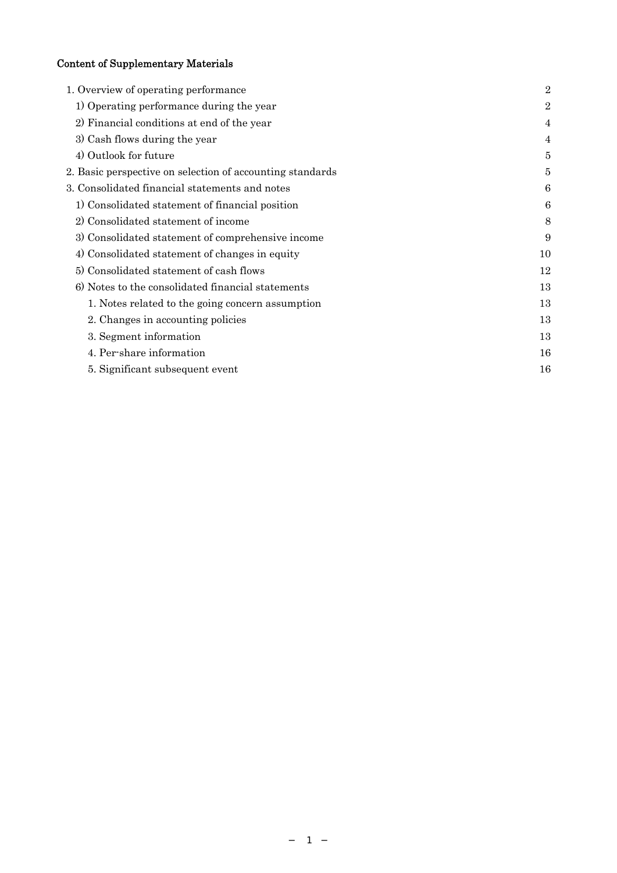# Content of Supplementary Materials

| 1. Overview of operating performance                      | $\overline{2}$ |
|-----------------------------------------------------------|----------------|
| 1) Operating performance during the year                  | $\overline{2}$ |
| 2) Financial conditions at end of the year                | 4              |
| 3) Cash flows during the year                             | 4              |
| 4) Outlook for future                                     | 5              |
| 2. Basic perspective on selection of accounting standards | 5              |
| 3. Consolidated financial statements and notes            | 6              |
| 1) Consolidated statement of financial position           | 6              |
| 2) Consolidated statement of income                       | 8              |
| 3) Consolidated statement of comprehensive income         | 9              |
| 4) Consolidated statement of changes in equity            | 10             |
| 5) Consolidated statement of cash flows                   | 12             |
| 6) Notes to the consolidated financial statements         | 13             |
| 1. Notes related to the going concern assumption          | 13             |
| 2. Changes in accounting policies                         | 13             |
| 3. Segment information                                    | 13             |
| 4. Per-share information                                  | 16             |
| 5. Significant subsequent event                           | 16             |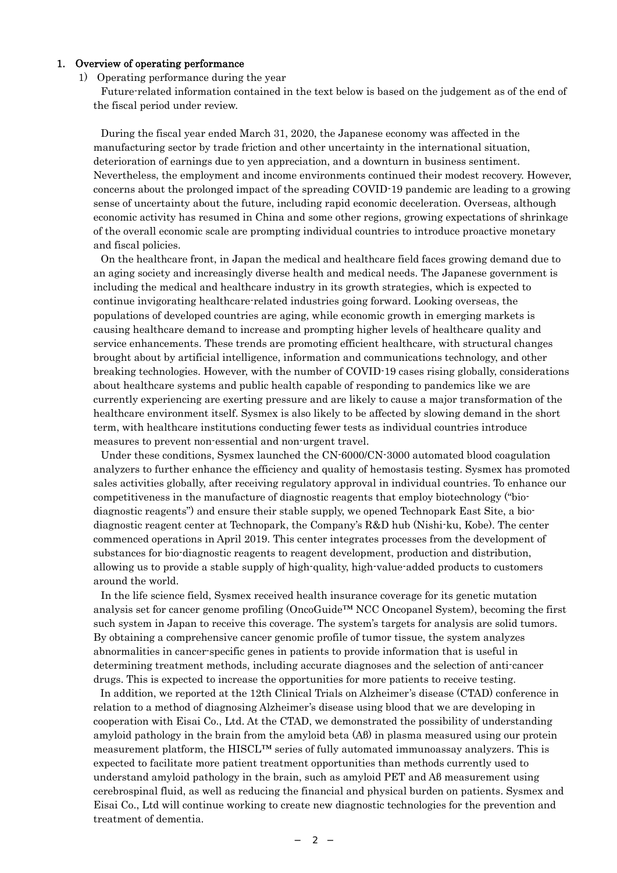#### 1. Overview of operating performance

#### 1) Operating performance during the year

Future-related information contained in the text below is based on the judgement as of the end of the fiscal period under review.

During the fiscal year ended March 31, 2020, the Japanese economy was affected in the manufacturing sector by trade friction and other uncertainty in the international situation, deterioration of earnings due to yen appreciation, and a downturn in business sentiment. Nevertheless, the employment and income environments continued their modest recovery. However, concerns about the prolonged impact of the spreading COVID-19 pandemic are leading to a growing sense of uncertainty about the future, including rapid economic deceleration. Overseas, although economic activity has resumed in China and some other regions, growing expectations of shrinkage of the overall economic scale are prompting individual countries to introduce proactive monetary and fiscal policies.

On the healthcare front, in Japan the medical and healthcare field faces growing demand due to an aging society and increasingly diverse health and medical needs. The Japanese government is including the medical and healthcare industry in its growth strategies, which is expected to continue invigorating healthcare-related industries going forward. Looking overseas, the populations of developed countries are aging, while economic growth in emerging markets is causing healthcare demand to increase and prompting higher levels of healthcare quality and service enhancements. These trends are promoting efficient healthcare, with structural changes brought about by artificial intelligence, information and communications technology, and other breaking technologies. However, with the number of COVID-19 cases rising globally, considerations about healthcare systems and public health capable of responding to pandemics like we are currently experiencing are exerting pressure and are likely to cause a major transformation of the healthcare environment itself. Sysmex is also likely to be affected by slowing demand in the short term, with healthcare institutions conducting fewer tests as individual countries introduce measures to prevent non-essential and non-urgent travel.

Under these conditions, Sysmex launched the CN-6000/CN-3000 automated blood coagulation analyzers to further enhance the efficiency and quality of hemostasis testing. Sysmex has promoted sales activities globally, after receiving regulatory approval in individual countries. To enhance our competitiveness in the manufacture of diagnostic reagents that employ biotechnology ("biodiagnostic reagents") and ensure their stable supply, we opened Technopark East Site, a biodiagnostic reagent center at Technopark, the Company's R&D hub (Nishi-ku, Kobe). The center commenced operations in April 2019. This center integrates processes from the development of substances for bio-diagnostic reagents to reagent development, production and distribution, allowing us to provide a stable supply of high-quality, high-value-added products to customers around the world.

In the life science field, Sysmex received health insurance coverage for its genetic mutation analysis set for cancer genome profiling (OncoGuide™ NCC Oncopanel System), becoming the first such system in Japan to receive this coverage. The system's targets for analysis are solid tumors. By obtaining a comprehensive cancer genomic profile of tumor tissue, the system analyzes abnormalities in cancer-specific genes in patients to provide information that is useful in determining treatment methods, including accurate diagnoses and the selection of anti-cancer drugs. This is expected to increase the opportunities for more patients to receive testing.

 In addition, we reported at the 12th Clinical Trials on Alzheimer's disease (CTAD) conference in relation to a method of diagnosing Alzheimer's disease using blood that we are developing in cooperation with Eisai Co., Ltd. At the CTAD, we demonstrated the possibility of understanding amyloid pathology in the brain from the amyloid beta (Aβ) in plasma measured using our protein measurement platform, the HISCL™ series of fully automated immunoassay analyzers. This is expected to facilitate more patient treatment opportunities than methods currently used to understand amyloid pathology in the brain, such as amyloid PET and Aβ measurement using cerebrospinal fluid, as well as reducing the financial and physical burden on patients. Sysmex and Eisai Co., Ltd will continue working to create new diagnostic technologies for the prevention and treatment of dementia.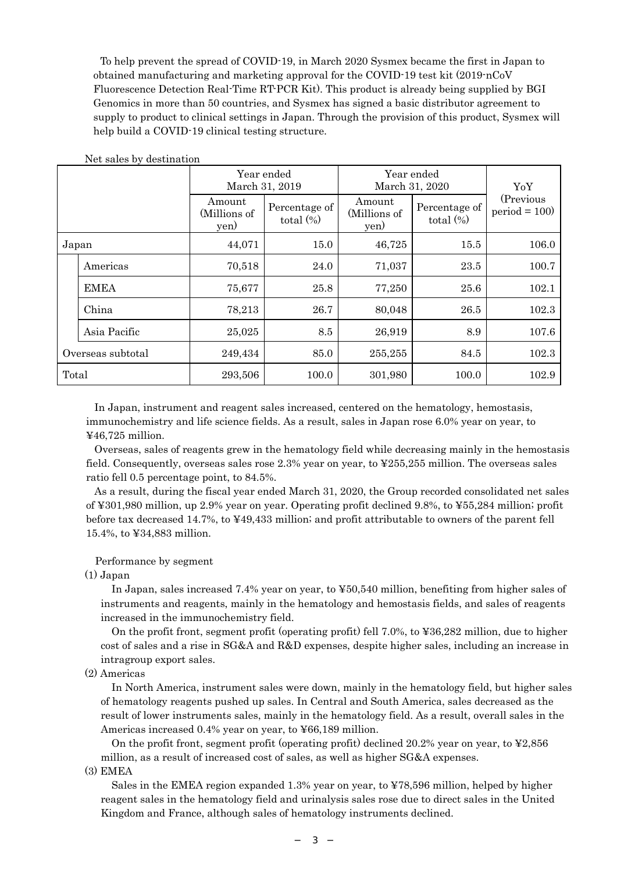To help prevent the spread of COVID-19, in March 2020 Sysmex became the first in Japan to obtained manufacturing and marketing approval for the COVID-19 test kit (2019-nCoV Fluorescence Detection Real-Time RT-PCR Kit). This product is already being supplied by BGI Genomics in more than 50 countries, and Sysmex has signed a basic distributor agreement to supply to product to clinical settings in Japan. Through the provision of this product, Sysmex will help build a COVID-19 clinical testing structure.

|       |                   |                                | Year ended<br>March 31, 2019  | Year ended<br>March 31, 2020   | YoY                           |                              |
|-------|-------------------|--------------------------------|-------------------------------|--------------------------------|-------------------------------|------------------------------|
|       |                   | Amount<br>(Millions of<br>yen) | Percentage of<br>total $(\%)$ | Amount<br>(Millions of<br>yen) | Percentage of<br>total $(\%)$ | (Previous)<br>$period = 100$ |
|       | Japan             | 44,071                         | 15.0                          | 46,725                         | 15.5                          | 106.0                        |
|       | Americas          | 70,518                         | 24.0                          | 71,037                         | 23.5                          | 100.7                        |
|       | <b>EMEA</b>       | 75,677                         | 25.8                          | 77,250                         | 25.6                          | 102.1                        |
|       | China             | 78,213                         | 26.7                          | 80,048                         | 26.5                          | 102.3                        |
|       | Asia Pacific      | 25,025                         | 8.5                           | 26,919                         | 8.9                           | 107.6                        |
|       | Overseas subtotal | 249,434                        | 85.0                          | 255,255                        | 84.5                          | 102.3                        |
| Total |                   | 293,506                        | 100.0                         | 301,980                        | 100.0                         | 102.9                        |

Net sales by destination

In Japan, instrument and reagent sales increased, centered on the hematology, hemostasis, immunochemistry and life science fields. As a result, sales in Japan rose 6.0% year on year, to ¥46,725 million.

Overseas, sales of reagents grew in the hematology field while decreasing mainly in the hemostasis field. Consequently, overseas sales rose 2.3% year on year, to ¥255,255 million. The overseas sales ratio fell 0.5 percentage point, to 84.5%.

As a result, during the fiscal year ended March 31, 2020, the Group recorded consolidated net sales of ¥301,980 million, up 2.9% year on year. Operating profit declined 9.8%, to ¥55,284 million; profit before tax decreased 14.7%, to ¥49,433 million; and profit attributable to owners of the parent fell 15.4%, to ¥34,883 million.

### Performance by segment

#### (1) Japan

In Japan, sales increased 7.4% year on year, to ¥50,540 million, benefiting from higher sales of instruments and reagents, mainly in the hematology and hemostasis fields, and sales of reagents increased in the immunochemistry field.

On the profit front, segment profit (operating profit) fell 7.0%, to ¥36,282 million, due to higher cost of sales and a rise in SG&A and R&D expenses, despite higher sales, including an increase in intragroup export sales.

(2) Americas

In North America, instrument sales were down, mainly in the hematology field, but higher sales of hematology reagents pushed up sales. In Central and South America, sales decreased as the result of lower instruments sales, mainly in the hematology field. As a result, overall sales in the Americas increased 0.4% year on year, to ¥66,189 million.

On the profit front, segment profit (operating profit) declined 20.2% year on year, to  $\text{\$2,856}$ million, as a result of increased cost of sales, as well as higher SG&A expenses.

(3) EMEA

Sales in the EMEA region expanded 1.3% year on year, to ¥78,596 million, helped by higher reagent sales in the hematology field and urinalysis sales rose due to direct sales in the United Kingdom and France, although sales of hematology instruments declined.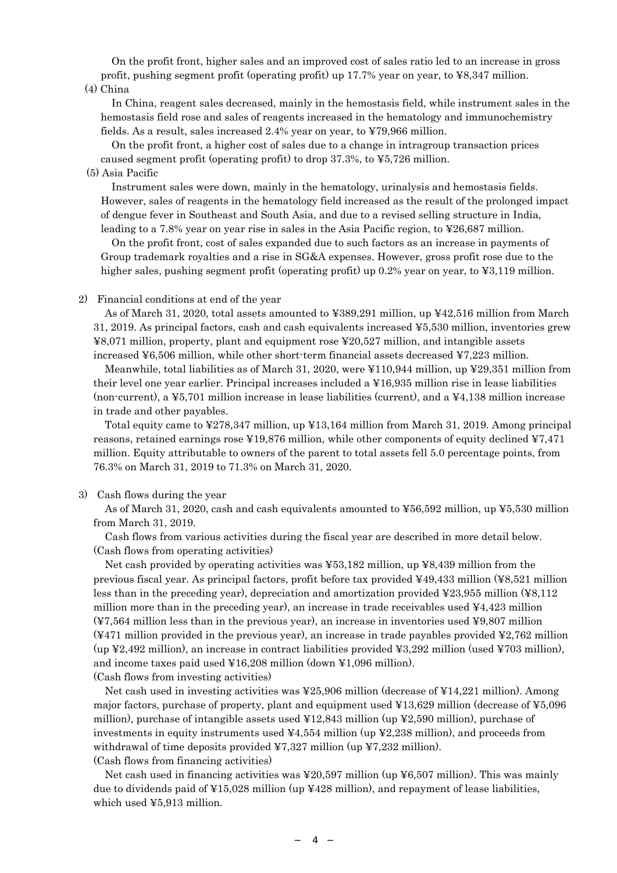On the profit front, higher sales and an improved cost of sales ratio led to an increase in gross profit, pushing segment profit (operating profit) up 17.7% year on year, to ¥8,347 million.

(4) China

In China, reagent sales decreased, mainly in the hemostasis field, while instrument sales in the hemostasis field rose and sales of reagents increased in the hematology and immunochemistry fields. As a result, sales increased 2.4% year on year, to ¥79,966 million.

On the profit front, a higher cost of sales due to a change in intragroup transaction prices caused segment profit (operating profit) to drop 37.3%, to ¥5,726 million.

#### (5) Asia Pacific

Instrument sales were down, mainly in the hematology, urinalysis and hemostasis fields. However, sales of reagents in the hematology field increased as the result of the prolonged impact of dengue fever in Southeast and South Asia, and due to a revised selling structure in India, leading to a 7.8% year on year rise in sales in the Asia Pacific region, to ¥26,687 million.

On the profit front, cost of sales expanded due to such factors as an increase in payments of Group trademark royalties and a rise in SG&A expenses. However, gross profit rose due to the higher sales, pushing segment profit (operating profit) up 0.2% year on year, to ¥3,119 million.

#### 2) Financial conditions at end of the year

As of March 31, 2020, total assets amounted to ¥389,291 million, up ¥42,516 million from March 31, 2019. As principal factors, cash and cash equivalents increased ¥5,530 million, inventories grew ¥8,071 million, property, plant and equipment rose ¥20,527 million, and intangible assets increased  $\text{\textless}=6,506$  million, while other short-term financial assets decreased  $\text{\textless}=7,223$  million.

Meanwhile, total liabilities as of March 31, 2020, were ¥110,944 million, up ¥29,351 million from their level one year earlier. Principal increases included a ¥16,935 million rise in lease liabilities (non-current), a ¥5,701 million increase in lease liabilities (current), and a ¥4,138 million increase in trade and other payables.

Total equity came to ¥278,347 million, up ¥13,164 million from March 31, 2019. Among principal reasons, retained earnings rose ¥19,876 million, while other components of equity declined ¥7,471 million. Equity attributable to owners of the parent to total assets fell 5.0 percentage points, from 76.3% on March 31, 2019 to 71.3% on March 31, 2020.

#### 3) Cash flows during the year

As of March 31, 2020, cash and cash equivalents amounted to  $\frac{1}{266,592}$  million, up  $\frac{1}{25,530}$  million from March 31, 2019.

Cash flows from various activities during the fiscal year are described in more detail below. (Cash flows from operating activities)

Net cash provided by operating activities was ¥53,182 million, up ¥8,439 million from the previous fiscal year. As principal factors, profit before tax provided ¥49,433 million (¥8,521 million less than in the preceding year), depreciation and amortization provided ¥23,955 million (¥8,112 million more than in the preceding year), an increase in trade receivables used  $\textless 44,423$  million (¥7,564 million less than in the previous year), an increase in inventories used ¥9,807 million (¥471 million provided in the previous year), an increase in trade payables provided ¥2,762 million (up  $\text{\textsterling}2,492$  million), an increase in contract liabilities provided  $\text{\textsterling}3,292$  million (used  $\text{\textsterling}703$  million), and income taxes paid used ¥16,208 million (down ¥1,096 million).

(Cash flows from investing activities)

Net cash used in investing activities was ¥25,906 million (decrease of ¥14,221 million). Among major factors, purchase of property, plant and equipment used ¥13,629 million (decrease of ¥5,096 million), purchase of intangible assets used ¥12,843 million (up ¥2,590 million), purchase of investments in equity instruments used  $\frac{1}{4}4.554$  million (up  $\frac{1}{2}2.238$  million), and proceeds from withdrawal of time deposits provided  $\frac{47,327 \text{ million}}{20,232 \text{ million}}$ . (Cash flows from financing activities)

Net cash used in financing activities was ¥20,597 million (up ¥6,507 million). This was mainly due to dividends paid of  $\text{\textsterling}15,028$  million (up  $\text{\textsterling}428$  million), and repayment of lease liabilities, which used ¥5,913 million.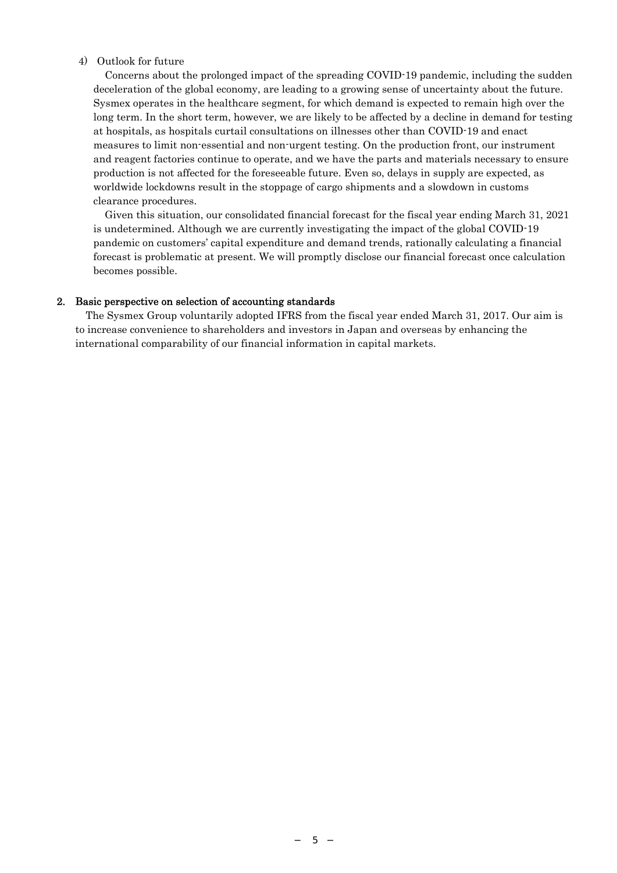### 4) Outlook for future

Concerns about the prolonged impact of the spreading COVID-19 pandemic, including the sudden deceleration of the global economy, are leading to a growing sense of uncertainty about the future. Sysmex operates in the healthcare segment, for which demand is expected to remain high over the long term. In the short term, however, we are likely to be affected by a decline in demand for testing at hospitals, as hospitals curtail consultations on illnesses other than COVID-19 and enact measures to limit non-essential and non-urgent testing. On the production front, our instrument and reagent factories continue to operate, and we have the parts and materials necessary to ensure production is not affected for the foreseeable future. Even so, delays in supply are expected, as worldwide lockdowns result in the stoppage of cargo shipments and a slowdown in customs clearance procedures.

Given this situation, our consolidated financial forecast for the fiscal year ending March 31, 2021 is undetermined. Although we are currently investigating the impact of the global COVID-19 pandemic on customers' capital expenditure and demand trends, rationally calculating a financial forecast is problematic at present. We will promptly disclose our financial forecast once calculation becomes possible.

### 2. Basic perspective on selection of accounting standards

The Sysmex Group voluntarily adopted IFRS from the fiscal year ended March 31, 2017. Our aim is to increase convenience to shareholders and investors in Japan and overseas by enhancing the international comparability of our financial information in capital markets.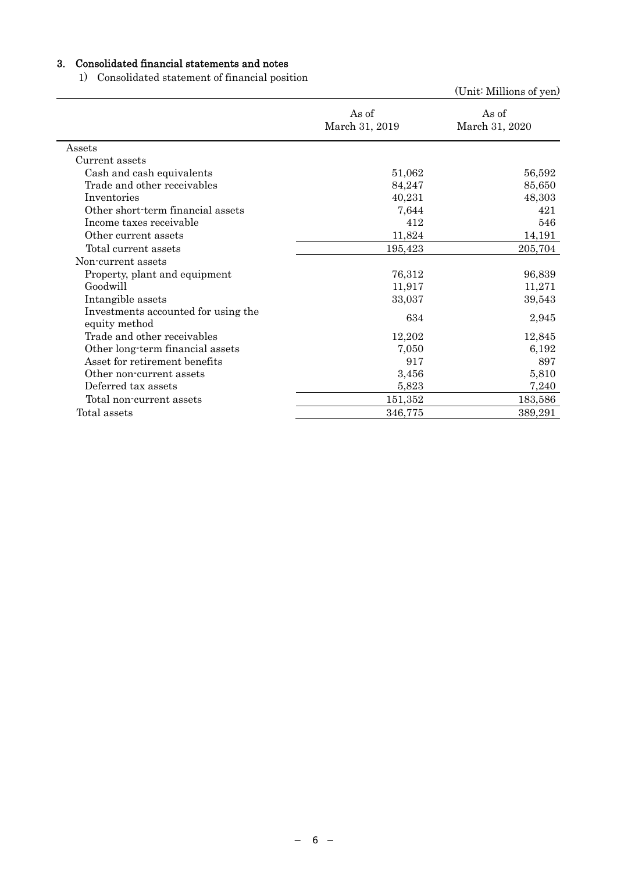# 3. Consolidated financial statements and notes

1) Consolidated statement of financial position

|                                                      |                         | (Unit: Millions of yen) |
|------------------------------------------------------|-------------------------|-------------------------|
|                                                      | As of<br>March 31, 2019 | As of<br>March 31, 2020 |
| Assets                                               |                         |                         |
| Current assets                                       |                         |                         |
| Cash and cash equivalents                            | 51,062                  | 56,592                  |
| Trade and other receivables                          | 84,247                  | 85,650                  |
| Inventories                                          | 40,231                  | 48,303                  |
| Other short-term financial assets                    | 7,644                   | 421                     |
| Income taxes receivable                              | 412                     | 546                     |
| Other current assets                                 | 11,824                  | 14,191                  |
| Total current assets                                 | 195,423                 | 205,704                 |
| Non-current assets                                   |                         |                         |
| Property, plant and equipment                        | 76,312                  | 96,839                  |
| Goodwill                                             | 11,917                  | 11,271                  |
| Intangible assets                                    | 33,037                  | 39,543                  |
| Investments accounted for using the<br>equity method | 634                     | 2,945                   |
| Trade and other receivables                          | 12,202                  | 12,845                  |
| Other long-term financial assets                     | 7,050                   | 6,192                   |
| Asset for retirement benefits                        | 917                     | 897                     |
| Other non-current assets                             | 3,456                   | 5,810                   |
| Deferred tax assets                                  | 5,823                   | 7,240                   |
| Total non-current assets                             | 151,352                 | 183,586                 |
| Total assets                                         | 346,775                 | 389,291                 |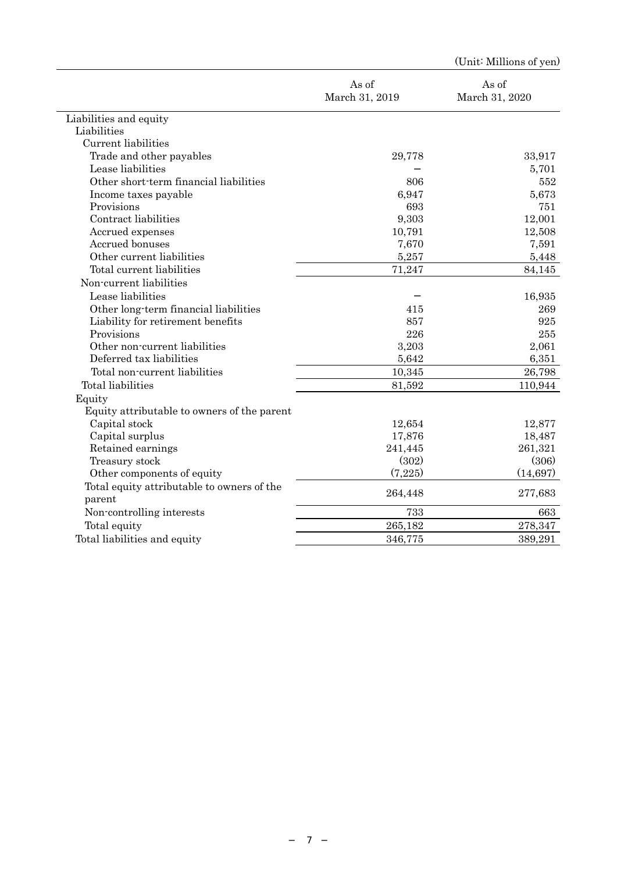|                                             |                         | (Unit: Millions of yen) |
|---------------------------------------------|-------------------------|-------------------------|
|                                             | As of<br>March 31, 2019 | As of<br>March 31, 2020 |
| Liabilities and equity                      |                         |                         |
| Liabilities                                 |                         |                         |
| Current liabilities                         |                         |                         |
| Trade and other payables                    | 29,778                  | 33,917                  |
| Lease liabilities                           |                         | 5,701                   |
| Other short-term financial liabilities      | 806                     | 552                     |
| Income taxes payable                        | 6,947                   | 5,673                   |
| Provisions                                  | 693                     | 751                     |
| Contract liabilities                        | 9,303                   | 12,001                  |
| Accrued expenses                            | 10,791                  | 12,508                  |
| Accrued bonuses                             | 7,670                   | 7,591                   |
| Other current liabilities                   | 5,257                   | 5,448                   |
| Total current liabilities                   | 71,247                  | 84,145                  |
| Non-current liabilities                     |                         |                         |
| Lease liabilities                           |                         | 16,935                  |
| Other long-term financial liabilities       | 415                     | 269                     |
| Liability for retirement benefits           | 857                     | 925                     |
| Provisions                                  | 226                     | 255                     |
| Other non-current liabilities               | 3,203                   | 2,061                   |
| Deferred tax liabilities                    | 5,642                   | 6,351                   |
| Total non-current liabilities               | 10,345                  | 26,798                  |
| Total liabilities                           | 81,592                  | 110,944                 |
| Equity                                      |                         |                         |
| Equity attributable to owners of the parent |                         |                         |
| Capital stock                               | 12,654                  | 12,877                  |
| Capital surplus                             | 17,876                  | 18,487                  |
| Retained earnings                           | 241,445                 | 261,321                 |
| Treasury stock                              | (302)                   | (306)                   |
| Other components of equity                  | (7,225)                 | (14, 697)               |
| Total equity attributable to owners of the  |                         |                         |
| parent                                      | 264,448                 | 277,683                 |
| Non-controlling interests                   | 733                     | 663                     |
| Total equity                                | 265,182                 | 278,347                 |
| Total liabilities and equity                | 346,775                 | 389,291                 |
|                                             |                         |                         |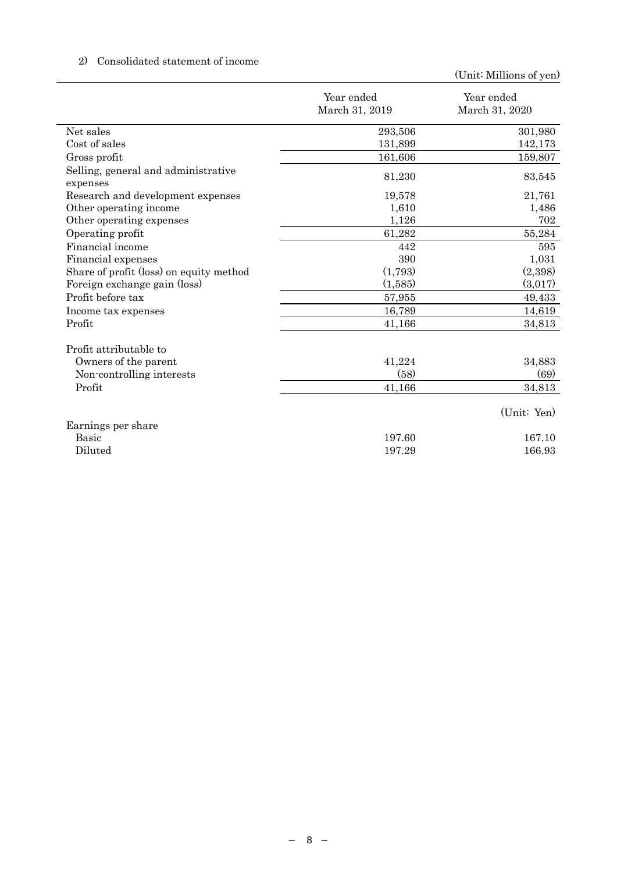# 2) Consolidated statement of income

|                                                 | Year ended<br>March 31, 2019 | Year ended<br>March 31, 2020 |
|-------------------------------------------------|------------------------------|------------------------------|
| Net sales                                       | 293,506                      | 301,980                      |
| Cost of sales                                   | 131,899                      | 142,173                      |
| Gross profit                                    | 161,606                      | 159,807                      |
| Selling, general and administrative<br>expenses | 81,230                       | 83,545                       |
| Research and development expenses               | 19,578                       | 21,761                       |
| Other operating income                          | 1,610                        | 1,486                        |
| Other operating expenses                        | 1,126                        | 702                          |
| Operating profit                                | 61,282                       | 55,284                       |
| Financial income                                | 442                          | 595                          |
| Financial expenses                              | 390                          | 1,031                        |
| Share of profit (loss) on equity method         | (1,793)                      | (2,398)                      |
| Foreign exchange gain (loss)                    | (1,585)                      | (3,017)                      |
| Profit before tax                               | 57,955                       | 49,433                       |
| Income tax expenses                             | 16,789                       | 14,619                       |
| Profit                                          | 41,166                       | 34,813                       |
| Profit attributable to                          |                              |                              |
| Owners of the parent                            | 41,224                       | 34,883                       |
| Non-controlling interests                       | (58)                         | (69)                         |
| Profit                                          | 41,166                       | 34,813                       |
|                                                 |                              | (Unit: Yen)                  |
| Earnings per share                              |                              |                              |
| <b>Basic</b>                                    | 197.60                       | 167.10                       |
| Diluted                                         | 197.29                       | 166.93                       |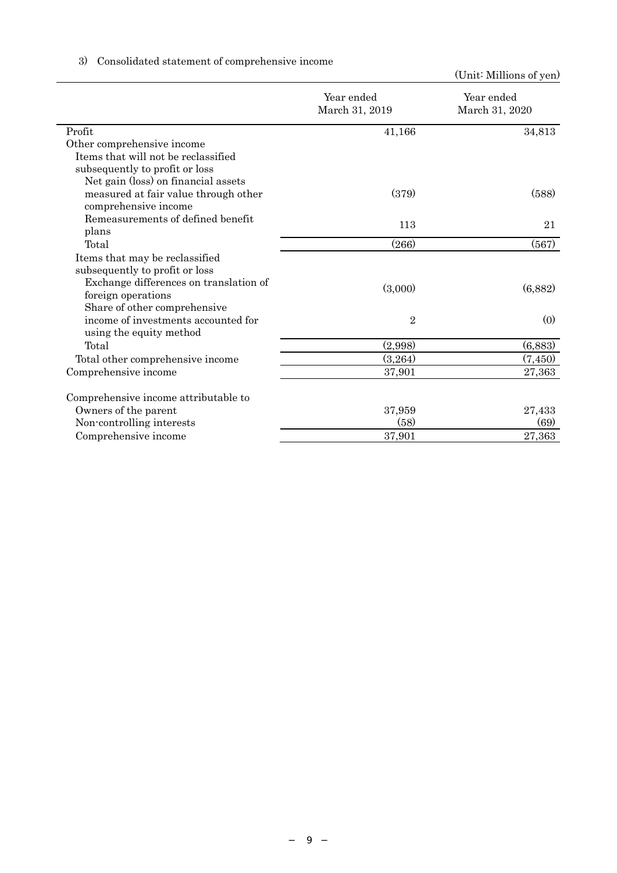|                                        |                              | (OTHE MITHOUS OF YEAR)       |
|----------------------------------------|------------------------------|------------------------------|
|                                        | Year ended<br>March 31, 2019 | Year ended<br>March 31, 2020 |
| Profit                                 | 41,166                       | 34,813                       |
| Other comprehensive income             |                              |                              |
| Items that will not be reclassified    |                              |                              |
| subsequently to profit or loss         |                              |                              |
| Net gain (loss) on financial assets    |                              |                              |
| measured at fair value through other   | (379)                        | (588)                        |
| comprehensive income                   |                              |                              |
| Remeasurements of defined benefit      | 113                          | 21                           |
| plans                                  |                              |                              |
| Total                                  | (266)                        | (567)                        |
| Items that may be reclassified         |                              |                              |
| subsequently to profit or loss         |                              |                              |
| Exchange differences on translation of | (3,000)                      | (6,882)                      |
| foreign operations                     |                              |                              |
| Share of other comprehensive           |                              |                              |
| income of investments accounted for    | $\overline{2}$               | (0)                          |
| using the equity method                |                              |                              |
| Total                                  | (2,998)                      | (6,883)                      |
| Total other comprehensive income       | (3,264)                      | (7, 450)                     |
| Comprehensive income                   | 37,901                       | 27,363                       |
| Comprehensive income attributable to   |                              |                              |
| Owners of the parent                   | 37,959                       | 27,433                       |
| Non-controlling interests              | (58)                         | (69)                         |
| Comprehensive income                   | 37,901                       | 27,363                       |

# 3) Consolidated statement of comprehensive income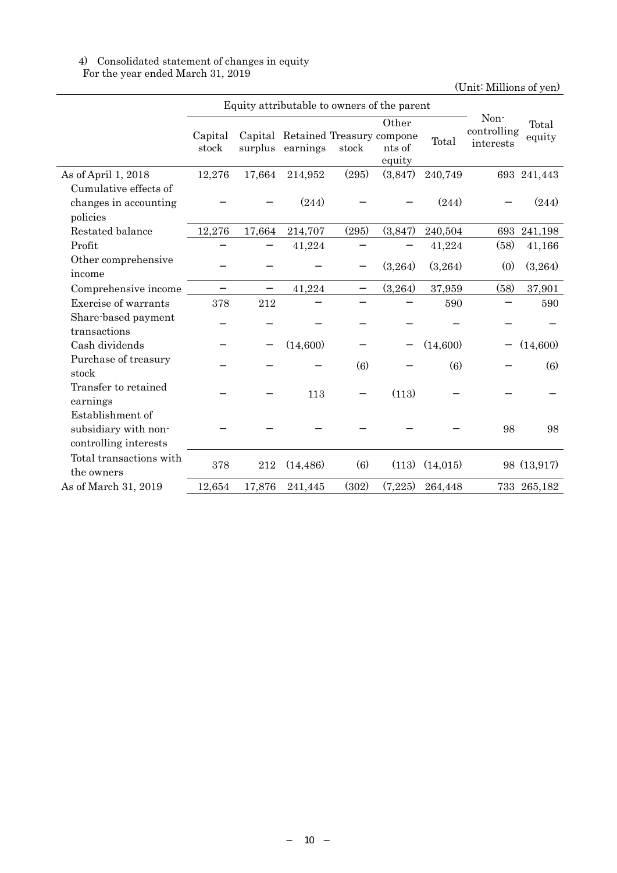## 4) Consolidated statement of changes in equity For the year ended March 31, 2019

|                         |                  | Equity attributable to owners of the parent |                                                       |       |                           |          |                                  |                 |
|-------------------------|------------------|---------------------------------------------|-------------------------------------------------------|-------|---------------------------|----------|----------------------------------|-----------------|
|                         | Capital<br>stock |                                             | Capital Retained Treasury compone<br>surplus earnings | stock | Other<br>nts of<br>equity | Total    | Non-<br>controlling<br>interests | Total<br>equity |
| As of April 1, 2018     | 12,276           | 17,664                                      | 214,952                                               | (295) | (3,847)                   | 240,749  |                                  | 693 241,443     |
| Cumulative effects of   |                  |                                             |                                                       |       |                           |          |                                  |                 |
| changes in accounting   |                  |                                             | (244)                                                 |       |                           | (244)    |                                  | (244)           |
| policies                |                  |                                             |                                                       |       |                           |          |                                  |                 |
| Restated balance        | 12,276           | 17,664                                      | 214,707                                               | (295) | (3,847)                   | 240,504  | 693                              | 241,198         |
| Profit                  |                  |                                             | 41,224                                                |       |                           | 41,224   | (58)                             | 41,166          |
| Other comprehensive     |                  |                                             |                                                       |       | (3,264)                   | (3,264)  | (0)                              | (3,264)         |
| income                  |                  |                                             |                                                       |       |                           |          |                                  |                 |
| Comprehensive income    |                  |                                             | 41,224                                                |       | (3,264)                   | 37,959   | (58)                             | 37,901          |
| Exercise of warrants    | 378              | 212                                         |                                                       |       |                           | 590      |                                  | 590             |
| Share-based payment     |                  |                                             |                                                       |       |                           |          |                                  |                 |
| transactions            |                  |                                             |                                                       |       |                           |          |                                  |                 |
| Cash dividends          |                  |                                             | (14,600)                                              |       |                           | (14,600) |                                  | (14,600)        |
| Purchase of treasury    |                  |                                             |                                                       | (6)   |                           | (6)      |                                  | (6)             |
| stock                   |                  |                                             |                                                       |       |                           |          |                                  |                 |
| Transfer to retained    |                  |                                             | 113                                                   |       | (113)                     |          |                                  |                 |
| earnings                |                  |                                             |                                                       |       |                           |          |                                  |                 |
| Establishment of        |                  |                                             |                                                       |       |                           |          |                                  |                 |
| subsidiary with non-    |                  |                                             |                                                       |       |                           |          | 98                               | 98              |
| controlling interests   |                  |                                             |                                                       |       |                           |          |                                  |                 |
| Total transactions with | 378              | 212                                         | (14, 486)                                             | (6)   | (113)                     | (14,015) |                                  | 98 (13,917)     |
| the owners              |                  |                                             |                                                       |       |                           |          |                                  |                 |
| As of March 31, 2019    | 12,654           | 17,876                                      | 241,445                                               | (302) | (7,225)                   | 264,448  |                                  | 733 265,182     |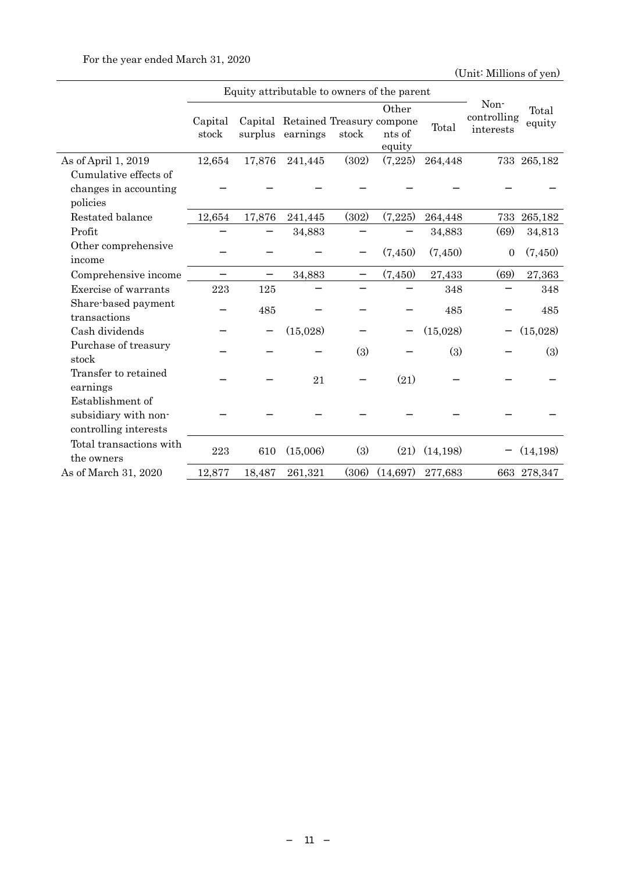|                                                                   |                  | Equity attributable to owners of the parent |                                                       |       |                           |           |                                  |                 |
|-------------------------------------------------------------------|------------------|---------------------------------------------|-------------------------------------------------------|-------|---------------------------|-----------|----------------------------------|-----------------|
|                                                                   | Capital<br>stock |                                             | Capital Retained Treasury compone<br>surplus earnings | stock | Other<br>nts of<br>equity | Total     | Non-<br>controlling<br>interests | Total<br>equity |
| As of April 1, 2019                                               | 12,654           | 17,876                                      | 241,445                                               | (302) | (7,225)                   | 264,448   |                                  | 733 265,182     |
| Cumulative effects of                                             |                  |                                             |                                                       |       |                           |           |                                  |                 |
| changes in accounting                                             |                  |                                             |                                                       |       |                           |           |                                  |                 |
| policies                                                          |                  |                                             |                                                       |       |                           |           |                                  |                 |
| Restated balance                                                  | 12,654           | 17,876                                      | 241,445                                               | (302) | (7,225)                   | 264,448   | 733                              | 265,182         |
| Profit                                                            |                  |                                             | 34,883                                                |       |                           | 34,883    | (69)                             | 34,813          |
| Other comprehensive<br>income                                     |                  |                                             |                                                       |       | (7,450)                   | (7,450)   | $\overline{0}$                   | (7,450)         |
| Comprehensive income                                              |                  |                                             | 34,883                                                |       | (7,450)                   | 27,433    | (69)                             | 27,363          |
| Exercise of warrants                                              | 223              | 125                                         |                                                       |       |                           | 348       |                                  | 348             |
| Share-based payment<br>transactions                               |                  | 485                                         |                                                       |       |                           | 485       |                                  | 485             |
| Cash dividends                                                    |                  |                                             | (15,028)                                              |       |                           | (15,028)  |                                  | (15,028)        |
| Purchase of treasury<br>stock                                     |                  |                                             |                                                       | (3)   |                           | (3)       |                                  | (3)             |
| Transfer to retained<br>earnings                                  |                  |                                             | 21                                                    |       | (21)                      |           |                                  |                 |
| Establishment of<br>subsidiary with non-<br>controlling interests |                  |                                             |                                                       |       |                           |           |                                  |                 |
| Total transactions with<br>the owners                             | 223              | 610                                         | (15,006)                                              | (3)   | (21)                      | (14, 198) |                                  | (14, 198)       |
| As of March 31, 2020                                              | 12,877           | 18,487                                      | 261,321                                               | (306) | (14, 697)                 | 277,683   |                                  | 663 278,347     |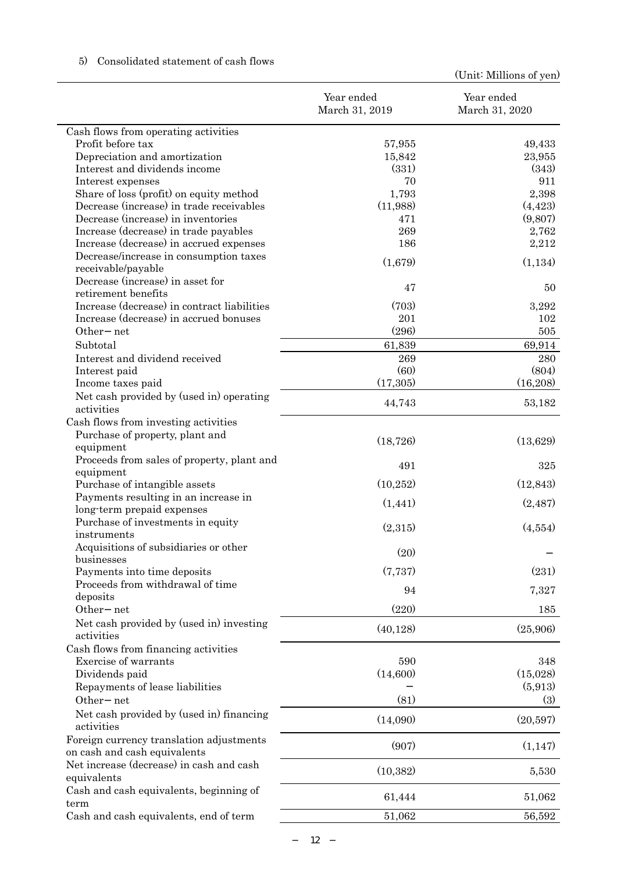|                                                                          | Year ended<br>March 31, 2019 | Year ended<br>March 31, 2020 |
|--------------------------------------------------------------------------|------------------------------|------------------------------|
| Cash flows from operating activities                                     |                              |                              |
| Profit before tax                                                        | 57,955                       | 49,433                       |
| Depreciation and amortization                                            | 15,842                       | 23,955                       |
| Interest and dividends income                                            | (331)                        | (343)                        |
| Interest expenses                                                        | 70                           | 911                          |
| Share of loss (profit) on equity method                                  | 1,793                        | 2,398                        |
| Decrease (increase) in trade receivables                                 | (11,988)                     | (4, 423)                     |
| Decrease (increase) in inventories                                       | 471                          | (9,807)                      |
| Increase (decrease) in trade payables                                    | 269                          | 2,762                        |
| Increase (decrease) in accrued expenses                                  | 186                          | 2,212                        |
| Decrease/increase in consumption taxes<br>receivable/payable             | (1,679)                      | (1,134)                      |
| Decrease (increase) in asset for                                         | 47                           | 50                           |
| retirement benefits<br>Increase (decrease) in contract liabilities       | (703)                        |                              |
| Increase (decrease) in accrued bonuses                                   | 201                          | 3,292<br>102                 |
| Other net                                                                | (296)                        | 505                          |
| Subtotal                                                                 |                              |                              |
| Interest and dividend received                                           | 61,839<br>269                | 69,914<br>280                |
| Interest paid                                                            | (60)                         | (804)                        |
| Income taxes paid                                                        | (17,305)                     | (16,208)                     |
| Net cash provided by (used in) operating                                 |                              |                              |
| activities                                                               | 44,743                       | 53,182                       |
| Cash flows from investing activities                                     |                              |                              |
| Purchase of property, plant and<br>equipment                             | (18, 726)                    | (13,629)                     |
| Proceeds from sales of property, plant and                               |                              |                              |
| equipment                                                                | 491                          | 325                          |
| Purchase of intangible assets                                            | (10, 252)                    | (12, 843)                    |
| Payments resulting in an increase in                                     | (1, 441)                     | (2, 487)                     |
| long-term prepaid expenses                                               |                              |                              |
| Purchase of investments in equity<br>instruments                         | (2,315)                      | (4,554)                      |
| Acquisitions of subsidiaries or other                                    | (20)                         |                              |
| businesses<br>Payments into time deposits                                | (7, 737)                     | (231)                        |
| Proceeds from withdrawal of time                                         |                              |                              |
| deposits                                                                 | 94                           | 7,327                        |
| Other net                                                                | (220)                        | 185                          |
| Net cash provided by (used in) investing<br>activities                   | (40, 128)                    | (25,906)                     |
| Cash flows from financing activities                                     |                              |                              |
| Exercise of warrants                                                     | 590                          | 348                          |
| Dividends paid                                                           | (14,600)                     | (15,028)                     |
| Repayments of lease liabilities                                          |                              | (5,913)                      |
| Other net                                                                | (81)                         | (3)                          |
| Net cash provided by (used in) financing<br>activities                   | (14,090)                     | (20,597)                     |
| Foreign currency translation adjustments<br>on cash and cash equivalents | (907)                        | (1, 147)                     |
| Net increase (decrease) in cash and cash<br>equivalents                  | (10, 382)                    | 5,530                        |
| Cash and cash equivalents, beginning of<br>term                          | 61,444                       | 51,062                       |
| Cash and cash equivalents, end of term                                   | 51,062                       | 56,592                       |

## 5) Consolidated statement of cash flows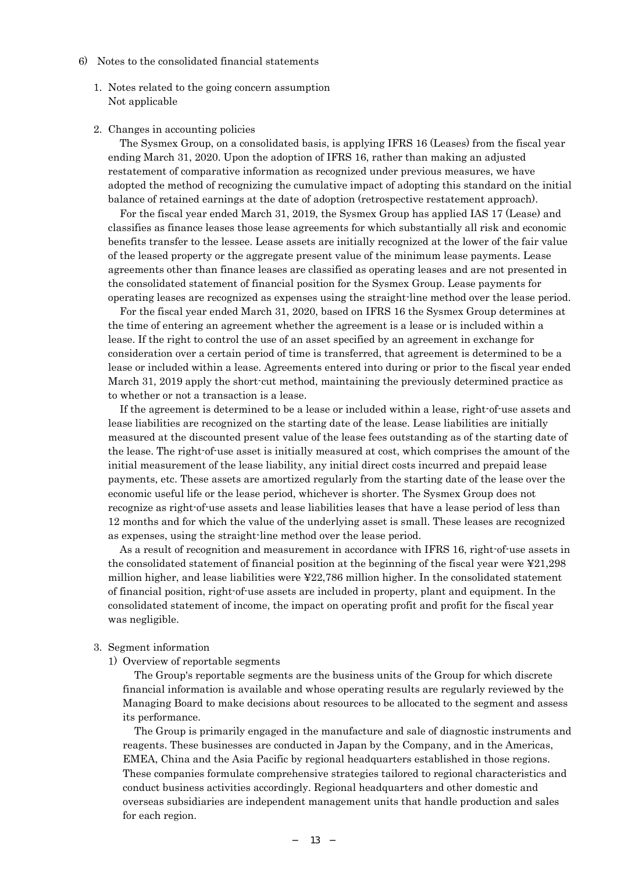- 6) Notes to the consolidated financial statements
	- 1. Notes related to the going concern assumption Not applicable
	- 2. Changes in accounting policies

The Sysmex Group, on a consolidated basis, is applying IFRS 16 (Leases) from the fiscal year ending March 31, 2020. Upon the adoption of IFRS 16, rather than making an adjusted restatement of comparative information as recognized under previous measures, we have adopted the method of recognizing the cumulative impact of adopting this standard on the initial balance of retained earnings at the date of adoption (retrospective restatement approach).

For the fiscal year ended March 31, 2019, the Sysmex Group has applied IAS 17 (Lease) and classifies as finance leases those lease agreements for which substantially all risk and economic benefits transfer to the lessee. Lease assets are initially recognized at the lower of the fair value of the leased property or the aggregate present value of the minimum lease payments. Lease agreements other than finance leases are classified as operating leases and are not presented in the consolidated statement of financial position for the Sysmex Group. Lease payments for operating leases are recognized as expenses using the straight-line method over the lease period.

For the fiscal year ended March 31, 2020, based on IFRS 16 the Sysmex Group determines at the time of entering an agreement whether the agreement is a lease or is included within a lease. If the right to control the use of an asset specified by an agreement in exchange for consideration over a certain period of time is transferred, that agreement is determined to be a lease or included within a lease. Agreements entered into during or prior to the fiscal year ended March 31, 2019 apply the short-cut method, maintaining the previously determined practice as to whether or not a transaction is a lease.

If the agreement is determined to be a lease or included within a lease, right-of-use assets and lease liabilities are recognized on the starting date of the lease. Lease liabilities are initially measured at the discounted present value of the lease fees outstanding as of the starting date of the lease. The right-of-use asset is initially measured at cost, which comprises the amount of the initial measurement of the lease liability, any initial direct costs incurred and prepaid lease payments, etc. These assets are amortized regularly from the starting date of the lease over the economic useful life or the lease period, whichever is shorter. The Sysmex Group does not recognize as right-of-use assets and lease liabilities leases that have a lease period of less than 12 months and for which the value of the underlying asset is small. These leases are recognized as expenses, using the straight-line method over the lease period.

As a result of recognition and measurement in accordance with IFRS 16, right-of-use assets in the consolidated statement of financial position at the beginning of the fiscal year were  $\frac{121,298}{2}$ million higher, and lease liabilities were ¥22,786 million higher. In the consolidated statement of financial position, right-of-use assets are included in property, plant and equipment. In the consolidated statement of income, the impact on operating profit and profit for the fiscal year was negligible.

#### 3. Segment information

1) Overview of reportable segments

The Group's reportable segments are the business units of the Group for which discrete financial information is available and whose operating results are regularly reviewed by the Managing Board to make decisions about resources to be allocated to the segment and assess its performance.

The Group is primarily engaged in the manufacture and sale of diagnostic instruments and reagents. These businesses are conducted in Japan by the Company, and in the Americas, EMEA, China and the Asia Pacific by regional headquarters established in those regions. These companies formulate comprehensive strategies tailored to regional characteristics and conduct business activities accordingly. Regional headquarters and other domestic and overseas subsidiaries are independent management units that handle production and sales for each region.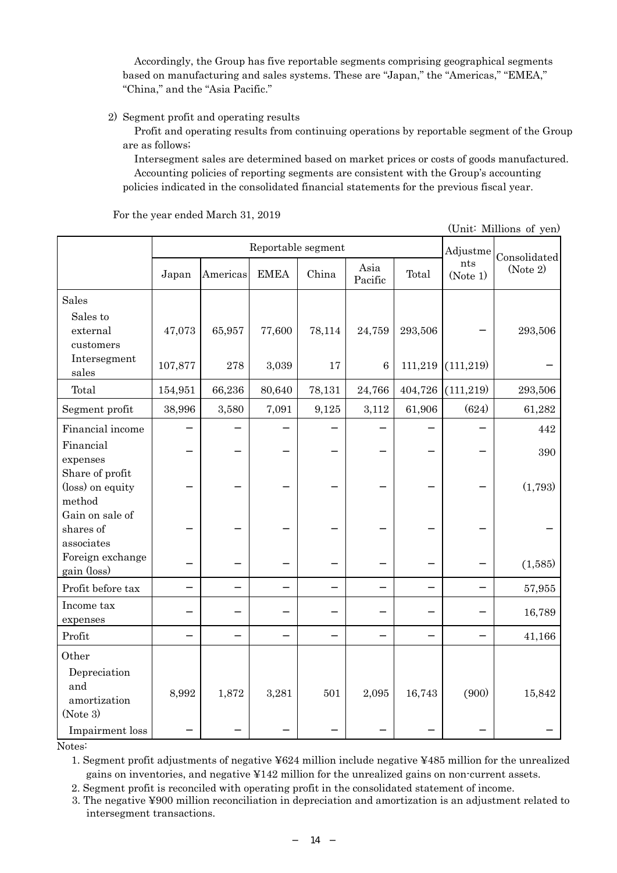Accordingly, the Group has five reportable segments comprising geographical segments based on manufacturing and sales systems. These are "Japan," the "Americas," "EMEA," "China," and the "Asia Pacific."

## 2) Segment profit and operating results

Profit and operating results from continuing operations by reportable segment of the Group are as follows;

Intersegment sales are determined based on market prices or costs of goods manufactured. Accounting policies of reporting segments are consistent with the Group's accounting policies indicated in the consolidated financial statements for the previous fiscal year.

Reportable segment Adjustme nts (Note 1) Consolidated (Note 2) Japan Americas EMEA China Asia Asia Total Sales Sales to external customers  $47,073$  65,957 77,600 78,114 24,759 293,506 Intersegment sales 107,877 278 3,039 17 6 111,219 (111,219) Total 154,951 66,236 80,640 78,131 24,766 404,726 (111,219) 293,506 Segment profit 38,996 3,580 7,091 9,125 3,112 61,906 (624) 61,282 Financial income and the set of the set of the set of the set of the set of the set of the set of the set of the set of the set of the set of the set of the set of the set of the set of the set of the set of the set of the Financial expenses 390 Share of profit (loss) on equity method (1,793) Gain on sale of shares of associates Foreign exchange pain (loss) (1,585) Profit before tax and the set of the set of the set of the set of the set of the set of the set of the set of the set of the set of the set of the set of the set of the set of the set of the set of the set of the set of th Income tax expenses 16,789 Profit  $\vert$  41,166 **Other** Depreciation and amortization (Note 3) 8,992 1,872 3,281 501 2,095 16,743 (900) 15,842 Impairment loss

For the year ended March 31, 2019

(Unit: Millions of yen)

Notes:

1. Segment profit adjustments of negative ¥624 million include negative ¥485 million for the unrealized gains on inventories, and negative ¥142 million for the unrealized gains on non-current assets.

2. Segment profit is reconciled with operating profit in the consolidated statement of income.

3. The negative ¥900 million reconciliation in depreciation and amortization is an adjustment related to intersegment transactions.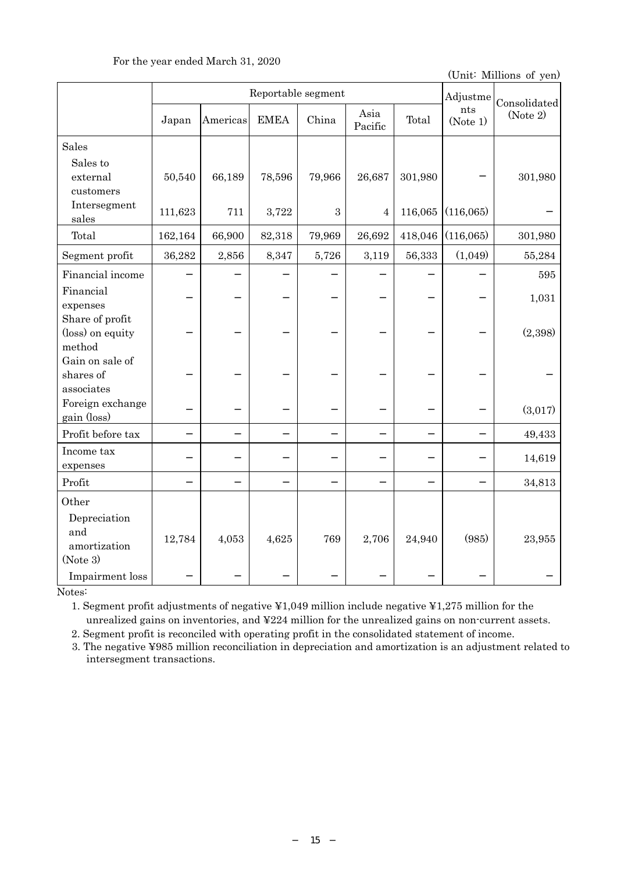| For the year ended March 31, 2020 |  |  |  |
|-----------------------------------|--|--|--|
|-----------------------------------|--|--|--|

(Unit: Millions of yen)

|                                                                             | Reportable segment |          |             |            |                 |         | Adjustme        | Consolidated |
|-----------------------------------------------------------------------------|--------------------|----------|-------------|------------|-----------------|---------|-----------------|--------------|
|                                                                             | Japan              | Americas | <b>EMEA</b> | China      | Asia<br>Pacific | Total   | nts<br>(Note 1) | (Note 2)     |
| <b>Sales</b>                                                                |                    |          |             |            |                 |         |                 |              |
| Sales to<br>external<br>customers                                           | 50,540             | 66,189   | 78,596      | 79,966     | 26,687          | 301,980 |                 | 301,980      |
| Intersegment<br>sales                                                       | 111,623            | 711      | 3,722       | $\sqrt{3}$ | 4               | 116,065 | (116,065)       |              |
| Total                                                                       | 162,164            | 66,900   | 82,318      | 79,969     | 26,692          | 418,046 | (116,065)       | 301,980      |
| Segment profit                                                              | 36,282             | 2,856    | 8,347       | 5,726      | 3,119           | 56,333  | (1,049)         | 55,284       |
| Financial income                                                            |                    |          |             |            |                 |         |                 | 595          |
| Financial<br>expenses                                                       |                    |          |             |            |                 |         |                 | 1,031        |
| Share of profit<br>(loss) on equity<br>method                               |                    |          |             |            |                 |         |                 | (2,398)      |
| Gain on sale of<br>shares of<br>associates                                  |                    |          |             |            |                 |         |                 |              |
| Foreign exchange<br>gain (loss)                                             |                    |          |             |            |                 |         |                 | (3,017)      |
| Profit before tax                                                           |                    |          |             |            |                 |         |                 | 49,433       |
| Income tax<br>expenses                                                      |                    |          |             |            |                 |         |                 | 14,619       |
| ${\rm Profit}$                                                              |                    |          |             |            |                 |         |                 | 34,813       |
| Other<br>Depreciation<br>and<br>amortization<br>(Note 3)<br>Impairment loss | 12,784             | 4,053    | 4,625       | 769        | 2,706           | 24,940  | (985)           | 23,955       |

Notes:

1. Segment profit adjustments of negative ¥1,049 million include negative ¥1,275 million for the unrealized gains on inventories, and ¥224 million for the unrealized gains on non-current assets.

2. Segment profit is reconciled with operating profit in the consolidated statement of income.

3. The negative ¥985 million reconciliation in depreciation and amortization is an adjustment related to intersegment transactions.